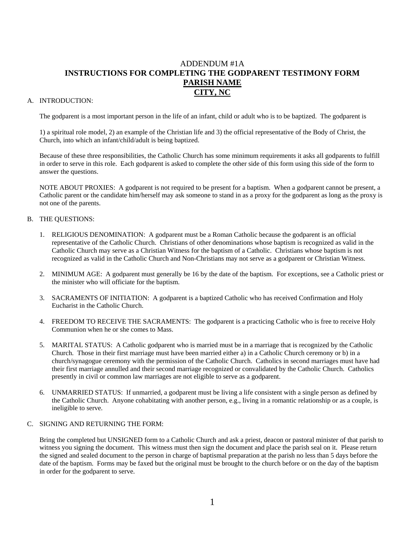## ADDENDUM #1A **INSTRUCTIONS FOR COMPLETING THE GODPARENT TESTIMONY FORM PARISH NAME CITY, NC**

## A. INTRODUCTION:

The godparent is a most important person in the life of an infant, child or adult who is to be baptized. The godparent is

1) a spiritual role model, 2) an example of the Christian life and 3) the official representative of the Body of Christ, the Church, into which an infant/child/adult is being baptized.

Because of these three responsibilities, the Catholic Church has some minimum requirements it asks all godparents to fulfill in order to serve in this role. Each godparent is asked to complete the other side of this form using this side of the form to answer the questions.

NOTE ABOUT PROXIES: A godparent is not required to be present for a baptism. When a godparent cannot be present, a Catholic parent or the candidate him/herself may ask someone to stand in as a proxy for the godparent as long as the proxy is not one of the parents.

### B. THE QUESTIONS:

- 1. RELIGIOUS DENOMINATION: A godparent must be a Roman Catholic because the godparent is an official representative of the Catholic Church. Christians of other denominations whose baptism is recognized as valid in the Catholic Church may serve as a Christian Witness for the baptism of a Catholic. Christians whose baptism is not recognized as valid in the Catholic Church and Non-Christians may not serve as a godparent or Christian Witness.
- 2. MINIMUM AGE: A godparent must generally be 16 by the date of the baptism. For exceptions, see a Catholic priest or the minister who will officiate for the baptism.
- 3. SACRAMENTS OF INITIATION: A godparent is a baptized Catholic who has received Confirmation and Holy Eucharist in the Catholic Church.
- 4. FREEDOM TO RECEIVE THE SACRAMENTS: The godparent is a practicing Catholic who is free to receive Holy Communion when he or she comes to Mass.
- 5. MARITAL STATUS: A Catholic godparent who is married must be in a marriage that is recognized by the Catholic Church. Those in their first marriage must have been married either a) in a Catholic Church ceremony or b) in a church/synagogue ceremony with the permission of the Catholic Church. Catholics in second marriages must have had their first marriage annulled and their second marriage recognized or convalidated by the Catholic Church. Catholics presently in civil or common law marriages are not eligible to serve as a godparent.
- 6. UNMARRIED STATUS: If unmarried, a godparent must be living a life consistent with a single person as defined by the Catholic Church. Anyone cohabitating with another person, e.g., living in a romantic relationship or as a couple, is ineligible to serve.

#### C. SIGNING AND RETURNING THE FORM:

Bring the completed but UNSIGNED form to a Catholic Church and ask a priest, deacon or pastoral minister of that parish to witness you signing the document. This witness must then sign the document and place the parish seal on it. Please return the signed and sealed document to the person in charge of baptismal preparation at the parish no less than 5 days before the date of the baptism. Forms may be faxed but the original must be brought to the church before or on the day of the baptism in order for the godparent to serve.